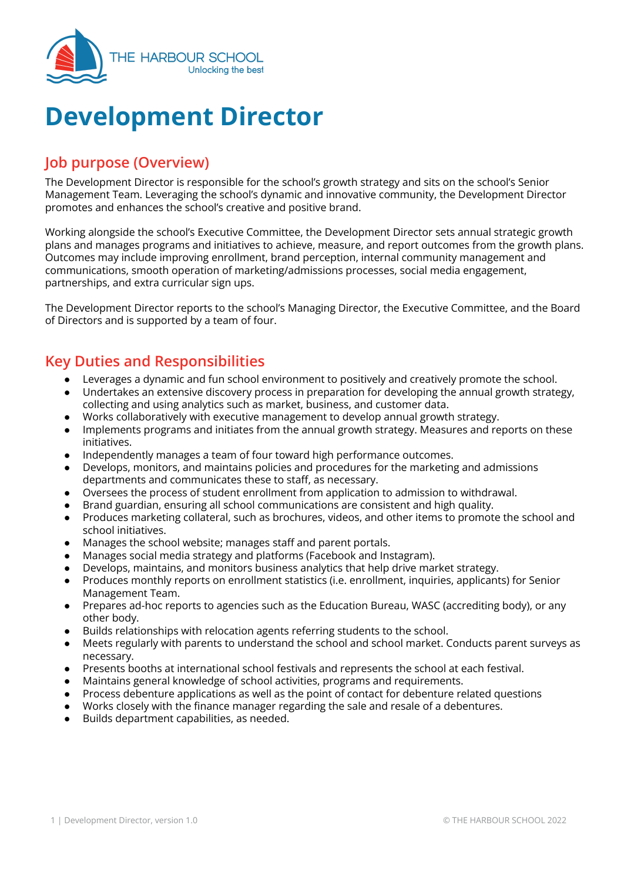

# **Development Director**

# **Job purpose (Overview)**

The Development Director is responsible for the school's growth strategy and sits on the school's Senior Management Team. Leveraging the school's dynamic and innovative community, the Development Director promotes and enhances the school's creative and positive brand.

Working alongside the school's Executive Committee, the Development Director sets annual strategic growth plans and manages programs and initiatives to achieve, measure, and report outcomes from the growth plans. Outcomes may include improving enrollment, brand perception, internal community management and communications, smooth operation of marketing/admissions processes, social media engagement, partnerships, and extra curricular sign ups.

The Development Director reports to the school's Managing Director, the Executive Committee, and the Board of Directors and is supported by a team of four.

## **Key Duties and Responsibilities**

- Leverages a dynamic and fun school environment to positively and creatively promote the school.
- Undertakes an extensive discovery process in preparation for developing the annual growth strategy, collecting and using analytics such as market, business, and customer data.
- Works collaboratively with executive management to develop annual growth strategy.
- Implements programs and initiates from the annual growth strategy. Measures and reports on these initiatives.
- Independently manages a team of four toward high performance outcomes.
- Develops, monitors, and maintains policies and procedures for the marketing and admissions departments and communicates these to staff, as necessary.
- Oversees the process of student enrollment from application to admission to withdrawal.
- Brand guardian, ensuring all school communications are consistent and high quality.
- Produces marketing collateral, such as brochures, videos, and other items to promote the school and school initiatives.
- Manages the school website; manages staff and parent portals.
- Manages social media strategy and platforms (Facebook and Instagram).
- Develops, maintains, and monitors business analytics that help drive market strategy.
- Produces monthly reports on enrollment statistics (i.e. enrollment, inquiries, applicants) for Senior Management Team.
- Prepares ad-hoc reports to agencies such as the Education Bureau, WASC (accrediting body), or any other body.
- Builds relationships with relocation agents referring students to the school.
- Meets regularly with parents to understand the school and school market. Conducts parent surveys as necessary.
- Presents booths at international school festivals and represents the school at each festival.
- Maintains general knowledge of school activities, programs and requirements.
- Process debenture applications as well as the point of contact for debenture related questions
- Works closely with the finance manager regarding the sale and resale of a debentures.
- Builds department capabilities, as needed.